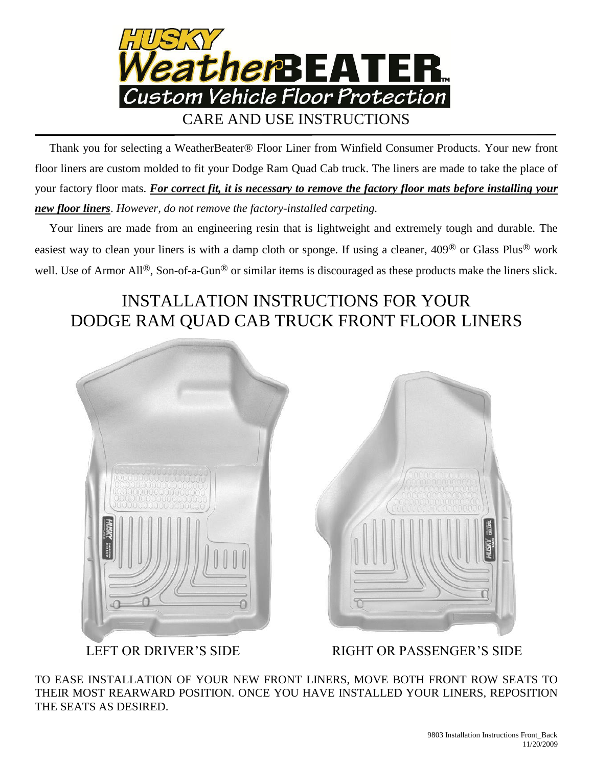

 Thank you for selecting a WeatherBeater® Floor Liner from Winfield Consumer Products. Your new front floor liners are custom molded to fit your Dodge Ram Quad Cab truck. The liners are made to take the place of your factory floor mats. *For correct fit, it is necessary to remove the factory floor mats before installing your new floor liners*. *However, do not remove the factory-installed carpeting.*

 Your liners are made from an engineering resin that is lightweight and extremely tough and durable. The easiest way to clean your liners is with a damp cloth or sponge. If using a cleaner, 409® or Glass Plus® work well. Use of Armor All<sup>®</sup>, Son-of-a-Gun<sup>®</sup> or similar items is discouraged as these products make the liners slick.

## INSTALLATION INSTRUCTIONS FOR YOUR DODGE RAM QUAD CAB TRUCK FRONT FLOOR LINERS



LEFT OR DRIVER'S SIDE RIGHT OR PASSENGER'S SIDE

TO EASE INSTALLATION OF YOUR NEW FRONT LINERS, MOVE BOTH FRONT ROW SEATS TO THEIR MOST REARWARD POSITION. ONCE YOU HAVE INSTALLED YOUR LINERS, REPOSITION THE SEATS AS DESIRED.